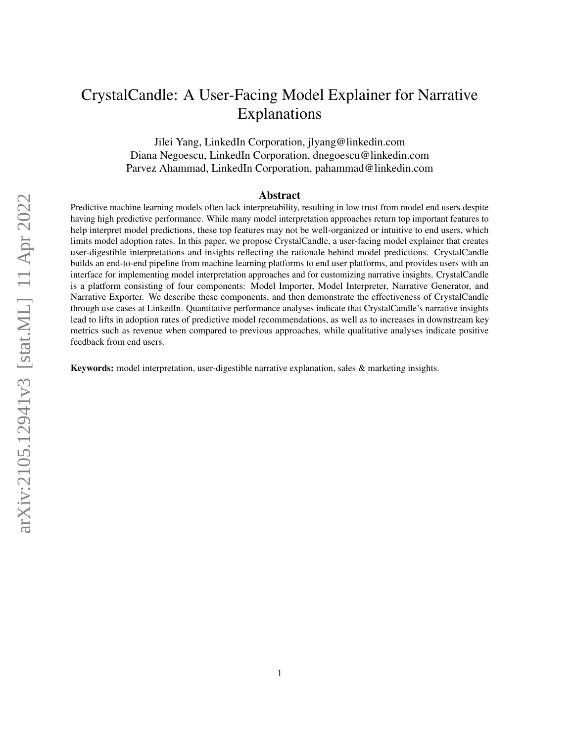# CrystalCandle: A User-Facing Model Explainer for Narrative Explanations

Jilei Yang, LinkedIn Corporation, jlyang@linkedin.com Diana Negoescu, LinkedIn Corporation, dnegoescu@linkedin.com Parvez Ahammad, LinkedIn Corporation, pahammad@linkedin.com

## Abstract

Predictive machine learning models often lack interpretability, resulting in low trust from model end users despite having high predictive performance. While many model interpretation approaches return top important features to help interpret model predictions, these top features may not be well-organized or intuitive to end users, which limits model adoption rates. In this paper, we propose CrystalCandle, a user-facing model explainer that creates user-digestible interpretations and insights reflecting the rationale behind model predictions. CrystalCandle builds an end-to-end pipeline from machine learning platforms to end user platforms, and provides users with an interface for implementing model interpretation approaches and for customizing narrative insights. CrystalCandle is a platform consisting of four components: Model Importer, Model Interpreter, Narrative Generator, and Narrative Exporter. We describe these components, and then demonstrate the effectiveness of CrystalCandle through use cases at LinkedIn. Quantitative performance analyses indicate that CrystalCandle's narrative insights lead to lifts in adoption rates of predictive model recommendations, as well as to increases in downstream key metrics such as revenue when compared to previous approaches, while qualitative analyses indicate positive feedback from end users.

Keywords: model interpretation, user-digestible narrative explanation, sales & marketing insights.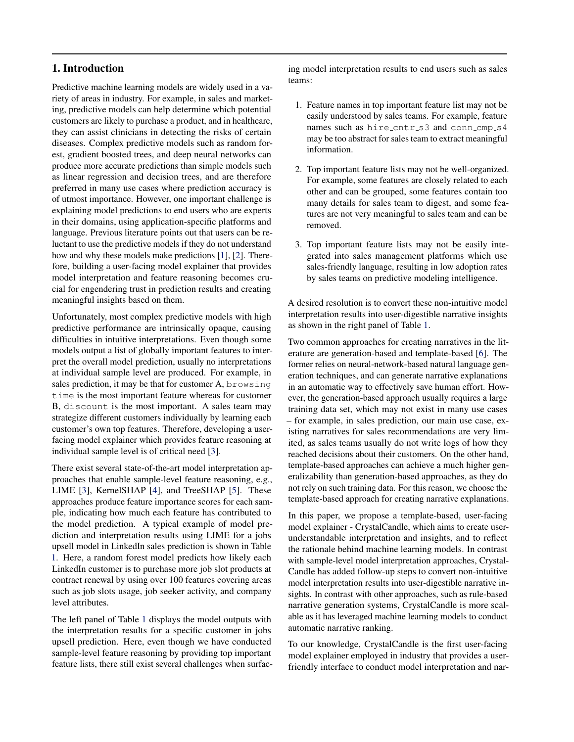# <span id="page-1-0"></span>1. Introduction

Predictive machine learning models are widely used in a variety of areas in industry. For example, in sales and marketing, predictive models can help determine which potential customers are likely to purchase a product, and in healthcare, they can assist clinicians in detecting the risks of certain diseases. Complex predictive models such as random forest, gradient boosted trees, and deep neural networks can produce more accurate predictions than simple models such as linear regression and decision trees, and are therefore preferred in many use cases where prediction accuracy is of utmost importance. However, one important challenge is explaining model predictions to end users who are experts in their domains, using application-specific platforms and language. Previous literature points out that users can be reluctant to use the predictive models if they do not understand how and why these models make predictions [\[1\]](#page-11-0), [\[2\]](#page-11-0). Therefore, building a user-facing model explainer that provides model interpretation and feature reasoning becomes crucial for engendering trust in prediction results and creating meaningful insights based on them.

Unfortunately, most complex predictive models with high predictive performance are intrinsically opaque, causing difficulties in intuitive interpretations. Even though some models output a list of globally important features to interpret the overall model prediction, usually no interpretations at individual sample level are produced. For example, in sales prediction, it may be that for customer A, browsing time is the most important feature whereas for customer B, discount is the most important. A sales team may strategize different customers individually by learning each customer's own top features. Therefore, developing a userfacing model explainer which provides feature reasoning at individual sample level is of critical need [\[3\]](#page-11-0).

There exist several state-of-the-art model interpretation approaches that enable sample-level feature reasoning, e.g., LIME [\[3\]](#page-11-0), KernelSHAP [\[4\]](#page-11-0), and TreeSHAP [\[5\]](#page-11-0). These approaches produce feature importance scores for each sample, indicating how much each feature has contributed to the model prediction. A typical example of model prediction and interpretation results using LIME for a jobs upsell model in LinkedIn sales prediction is shown in Table [1.](#page-2-0) Here, a random forest model predicts how likely each LinkedIn customer is to purchase more job slot products at contract renewal by using over 100 features covering areas such as job slots usage, job seeker activity, and company level attributes.

The left panel of Table [1](#page-2-0) displays the model outputs with the interpretation results for a specific customer in jobs upsell prediction. Here, even though we have conducted sample-level feature reasoning by providing top important feature lists, there still exist several challenges when surfacing model interpretation results to end users such as sales teams:

- 1. Feature names in top important feature list may not be easily understood by sales teams. For example, feature names such as hire\_cntr\_s3 and conn\_cmp\_s4 may be too abstract for sales team to extract meaningful information.
- 2. Top important feature lists may not be well-organized. For example, some features are closely related to each other and can be grouped, some features contain too many details for sales team to digest, and some features are not very meaningful to sales team and can be removed.
- 3. Top important feature lists may not be easily integrated into sales management platforms which use sales-friendly language, resulting in low adoption rates by sales teams on predictive modeling intelligence.

A desired resolution is to convert these non-intuitive model interpretation results into user-digestible narrative insights as shown in the right panel of Table [1.](#page-2-0)

Two common approaches for creating narratives in the literature are generation-based and template-based [\[6\]](#page-11-0). The former relies on neural-network-based natural language generation techniques, and can generate narrative explanations in an automatic way to effectively save human effort. However, the generation-based approach usually requires a large training data set, which may not exist in many use cases – for example, in sales prediction, our main use case, existing narratives for sales recommendations are very limited, as sales teams usually do not write logs of how they reached decisions about their customers. On the other hand, template-based approaches can achieve a much higher generalizability than generation-based approaches, as they do not rely on such training data. For this reason, we choose the template-based approach for creating narrative explanations.

In this paper, we propose a template-based, user-facing model explainer - CrystalCandle, which aims to create userunderstandable interpretation and insights, and to reflect the rationale behind machine learning models. In contrast with sample-level model interpretation approaches, Crystal-Candle has added follow-up steps to convert non-intuitive model interpretation results into user-digestible narrative insights. In contrast with other approaches, such as rule-based narrative generation systems, CrystalCandle is more scalable as it has leveraged machine learning models to conduct automatic narrative ranking.

To our knowledge, CrystalCandle is the first user-facing model explainer employed in industry that provides a userfriendly interface to conduct model interpretation and nar-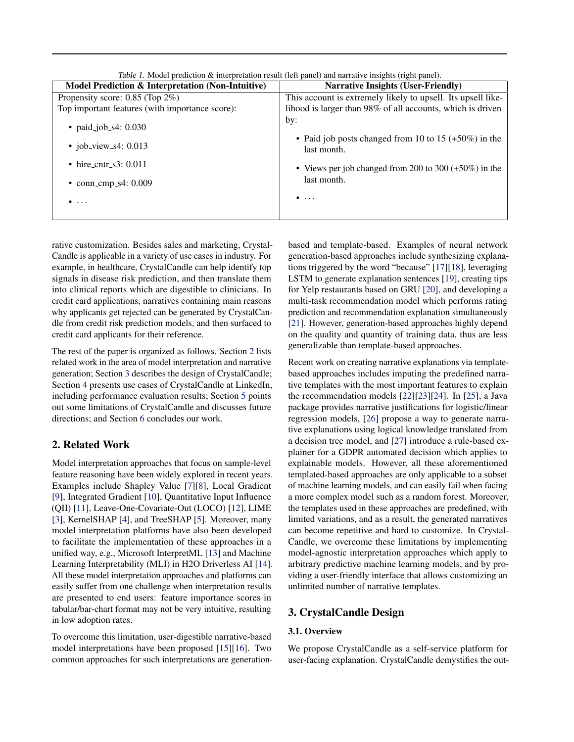<span id="page-2-0"></span>

| Model Prediction & Interpretation (Non-Intuitive) | <b>Narrative Insights (User-Friendly)</b>                                     |
|---------------------------------------------------|-------------------------------------------------------------------------------|
| Propensity score: 0.85 (Top 2%)                   | This account is extremely likely to upsell. Its upsell like-                  |
| Top important features (with importance score):   | lihood is larger than 98% of all accounts, which is driven                    |
| • paid_job_s4: $0.030$<br>• job_view_s4: $0.013$  | by:<br>• Paid job posts changed from 10 to 15 $(+50\%)$ in the<br>last month. |
| $\bullet$ hire_entr_s3: 0.011                     | • Views per job changed from 200 to 300 $(+50\%)$ in the                      |
| $\cdot$ conn_cmp_s4: 0.009                        | last month.                                                                   |
| .                                                 | $\bullet$                                                                     |

Table 1. Model prediction & interpretation result (left panel) and narrative insights (right panel).

rative customization. Besides sales and marketing, Crystal-Candle is applicable in a variety of use cases in industry. For example, in healthcare, CrystalCandle can help identify top signals in disease risk prediction, and then translate them into clinical reports which are digestible to clinicians. In credit card applications, narratives containing main reasons why applicants get rejected can be generated by CrystalCandle from credit risk prediction models, and then surfaced to credit card applicants for their reference.

The rest of the paper is organized as follows. Section 2 lists related work in the area of model interpretation and narrative generation; Section 3 describes the design of CrystalCandle; Section [4](#page-7-0) presents use cases of CrystalCandle at LinkedIn, including performance evaluation results; Section [5](#page-10-0) points out some limitations of CrystalCandle and discusses future directions; and Section [6](#page-11-0) concludes our work.

# 2. Related Work

Model interpretation approaches that focus on sample-level feature reasoning have been widely explored in recent years. Examples include Shapley Value [\[7\]\[8\]](#page-11-0), Local Gradient [\[9\]](#page-11-0), Integrated Gradient [\[10\]](#page-11-0), Quantitative Input Influence (QII) [\[11\]](#page-11-0), Leave-One-Covariate-Out (LOCO) [\[12\]](#page-12-0), LIME [\[3\]](#page-11-0), KernelSHAP [\[4\]](#page-11-0), and TreeSHAP [\[5\]](#page-11-0). Moreover, many model interpretation platforms have also been developed to facilitate the implementation of these approaches in a unified way, e.g., Microsoft InterpretML [\[13\]](#page-12-0) and Machine Learning Interpretability (MLI) in H2O Driverless AI [\[14\]](#page-12-0). All these model interpretation approaches and platforms can easily suffer from one challenge when interpretation results are presented to end users: feature importance scores in tabular/bar-chart format may not be very intuitive, resulting in low adoption rates.

To overcome this limitation, user-digestible narrative-based model interpretations have been proposed [\[15\]\[16\]](#page-12-0). Two common approaches for such interpretations are generationbased and template-based. Examples of neural network generation-based approaches include synthesizing explanations triggered by the word "because" [\[17\]\[18\]](#page-12-0), leveraging LSTM to generate explanation sentences [\[19\]](#page-12-0), creating tips for Yelp restaurants based on GRU [\[20\]](#page-12-0), and developing a multi-task recommendation model which performs rating prediction and recommendation explanation simultaneously [\[21\]](#page-12-0). However, generation-based approaches highly depend on the quality and quantity of training data, thus are less generalizable than template-based approaches.

Recent work on creating narrative explanations via templatebased approaches includes imputing the predefined narrative templates with the most important features to explain the recommendation models [\[22\]\[23\]\[24\]](#page-12-0). In [\[25\]](#page-12-0), a Java package provides narrative justifications for logistic/linear regression models, [\[26\]](#page-12-0) propose a way to generate narrative explanations using logical knowledge translated from a decision tree model, and [\[27\]](#page-12-0) introduce a rule-based explainer for a GDPR automated decision which applies to explainable models. However, all these aforementioned templated-based approaches are only applicable to a subset of machine learning models, and can easily fail when facing a more complex model such as a random forest. Moreover, the templates used in these approaches are predefined, with limited variations, and as a result, the generated narratives can become repetitive and hard to customize. In Crystal-Candle, we overcome these limitations by implementing model-agnostic interpretation approaches which apply to arbitrary predictive machine learning models, and by providing a user-friendly interface that allows customizing an unlimited number of narrative templates.

# 3. CrystalCandle Design

## 3.1. Overview

We propose CrystalCandle as a self-service platform for user-facing explanation. CrystalCandle demystifies the out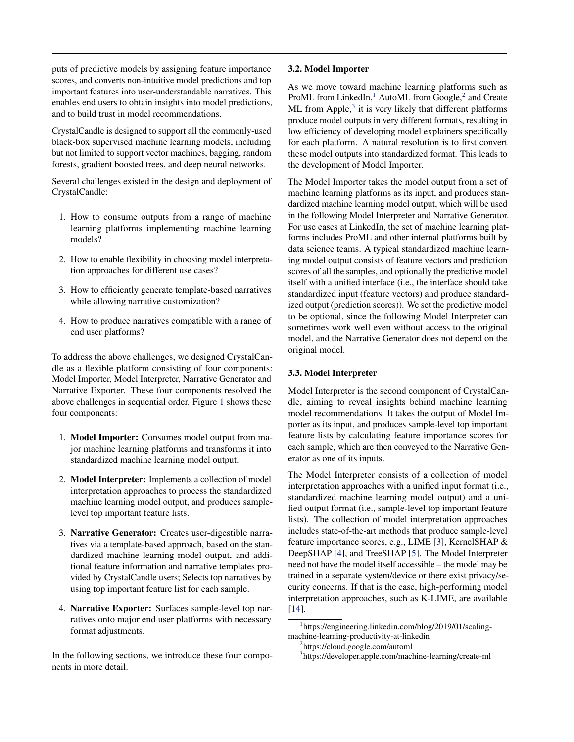puts of predictive models by assigning feature importance scores, and converts non-intuitive model predictions and top important features into user-understandable narratives. This enables end users to obtain insights into model predictions, and to build trust in model recommendations.

CrystalCandle is designed to support all the commonly-used black-box supervised machine learning models, including but not limited to support vector machines, bagging, random forests, gradient boosted trees, and deep neural networks.

Several challenges existed in the design and deployment of CrystalCandle:

- 1. How to consume outputs from a range of machine learning platforms implementing machine learning models?
- 2. How to enable flexibility in choosing model interpretation approaches for different use cases?
- 3. How to efficiently generate template-based narratives while allowing narrative customization?
- 4. How to produce narratives compatible with a range of end user platforms?

To address the above challenges, we designed CrystalCandle as a flexible platform consisting of four components: Model Importer, Model Interpreter, Narrative Generator and Narrative Exporter. These four components resolved the above challenges in sequential order. Figure [1](#page-4-0) shows these four components:

- 1. Model Importer: Consumes model output from major machine learning platforms and transforms it into standardized machine learning model output.
- 2. Model Interpreter: Implements a collection of model interpretation approaches to process the standardized machine learning model output, and produces samplelevel top important feature lists.
- 3. Narrative Generator: Creates user-digestible narratives via a template-based approach, based on the standardized machine learning model output, and additional feature information and narrative templates provided by CrystalCandle users; Selects top narratives by using top important feature list for each sample.
- 4. Narrative Exporter: Surfaces sample-level top narratives onto major end user platforms with necessary format adjustments.

In the following sections, we introduce these four components in more detail.

#### 3.2. Model Importer

As we move toward machine learning platforms such as ProML from LinkedIn,<sup>1</sup> AutoML from Google,<sup>2</sup> and Create ML from Apple,<sup>3</sup> it is very likely that different platforms produce model outputs in very different formats, resulting in low efficiency of developing model explainers specifically for each platform. A natural resolution is to first convert these model outputs into standardized format. This leads to the development of Model Importer.

The Model Importer takes the model output from a set of machine learning platforms as its input, and produces standardized machine learning model output, which will be used in the following Model Interpreter and Narrative Generator. For use cases at LinkedIn, the set of machine learning platforms includes ProML and other internal platforms built by data science teams. A typical standardized machine learning model output consists of feature vectors and prediction scores of all the samples, and optionally the predictive model itself with a unified interface (i.e., the interface should take standardized input (feature vectors) and produce standardized output (prediction scores)). We set the predictive model to be optional, since the following Model Interpreter can sometimes work well even without access to the original model, and the Narrative Generator does not depend on the original model.

#### 3.3. Model Interpreter

Model Interpreter is the second component of CrystalCandle, aiming to reveal insights behind machine learning model recommendations. It takes the output of Model Importer as its input, and produces sample-level top important feature lists by calculating feature importance scores for each sample, which are then conveyed to the Narrative Generator as one of its inputs.

The Model Interpreter consists of a collection of model interpretation approaches with a unified input format (i.e., standardized machine learning model output) and a unified output format (i.e., sample-level top important feature lists). The collection of model interpretation approaches includes state-of-the-art methods that produce sample-level feature importance scores, e.g., LIME [\[3\]](#page-11-0), KernelSHAP & DeepSHAP [\[4\]](#page-11-0), and TreeSHAP [\[5\]](#page-11-0). The Model Interpreter need not have the model itself accessible – the model may be trained in a separate system/device or there exist privacy/security concerns. If that is the case, high-performing model interpretation approaches, such as K-LIME, are available [\[14\]](#page-12-0).

<sup>&</sup>lt;sup>1</sup>https://engineering.linkedin.com/blog/2019/01/scalingmachine-learning-productivity-at-linkedin

<sup>2</sup> https://cloud.google.com/automl

<sup>3</sup> https://developer.apple.com/machine-learning/create-ml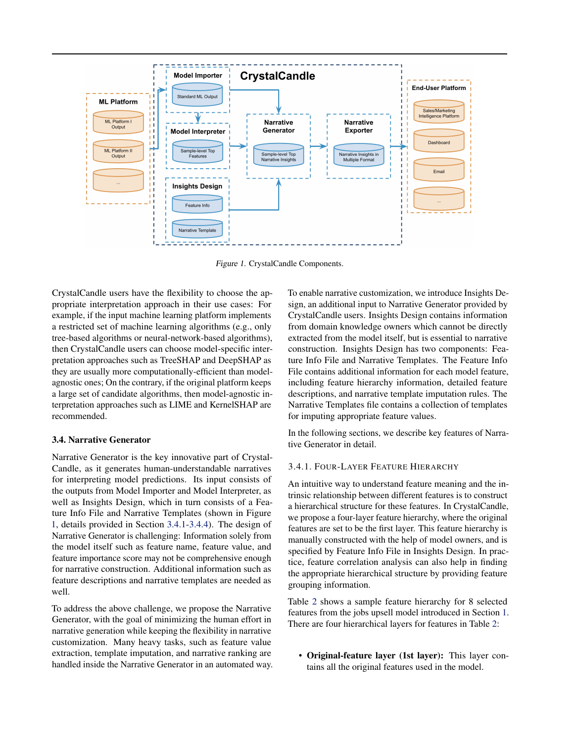<span id="page-4-0"></span>

Figure 1. CrystalCandle Components.

CrystalCandle users have the flexibility to choose the appropriate interpretation approach in their use cases: For example, if the input machine learning platform implements a restricted set of machine learning algorithms (e.g., only tree-based algorithms or neural-network-based algorithms), then CrystalCandle users can choose model-specific interpretation approaches such as TreeSHAP and DeepSHAP as they are usually more computationally-efficient than modelagnostic ones; On the contrary, if the original platform keeps a large set of candidate algorithms, then model-agnostic interpretation approaches such as LIME and KernelSHAP are recommended.

#### 3.4. Narrative Generator

Narrative Generator is the key innovative part of Crystal-Candle, as it generates human-understandable narratives for interpreting model predictions. Its input consists of the outputs from Model Importer and Model Interpreter, as well as Insights Design, which in turn consists of a Feature Info File and Narrative Templates (shown in Figure 1, details provided in Section 3.4.1[-3.4.4\)](#page-6-0). The design of Narrative Generator is challenging: Information solely from the model itself such as feature name, feature value, and feature importance score may not be comprehensive enough for narrative construction. Additional information such as feature descriptions and narrative templates are needed as well.

To address the above challenge, we propose the Narrative Generator, with the goal of minimizing the human effort in narrative generation while keeping the flexibility in narrative customization. Many heavy tasks, such as feature value extraction, template imputation, and narrative ranking are handled inside the Narrative Generator in an automated way. To enable narrative customization, we introduce Insights Design, an additional input to Narrative Generator provided by CrystalCandle users. Insights Design contains information from domain knowledge owners which cannot be directly extracted from the model itself, but is essential to narrative construction. Insights Design has two components: Feature Info File and Narrative Templates. The Feature Info File contains additional information for each model feature, including feature hierarchy information, detailed feature descriptions, and narrative template imputation rules. The Narrative Templates file contains a collection of templates for imputing appropriate feature values.

In the following sections, we describe key features of Narrative Generator in detail.

#### 3.4.1. FOUR-LAYER FEATURE HIERARCHY

An intuitive way to understand feature meaning and the intrinsic relationship between different features is to construct a hierarchical structure for these features. In CrystalCandle, we propose a four-layer feature hierarchy, where the original features are set to be the first layer. This feature hierarchy is manually constructed with the help of model owners, and is specified by Feature Info File in Insights Design. In practice, feature correlation analysis can also help in finding the appropriate hierarchical structure by providing feature grouping information.

Table [2](#page-5-0) shows a sample feature hierarchy for 8 selected features from the jobs upsell model introduced in Section [1.](#page-1-0) There are four hierarchical layers for features in Table [2:](#page-5-0)

• Original-feature layer (1st layer): This layer contains all the original features used in the model.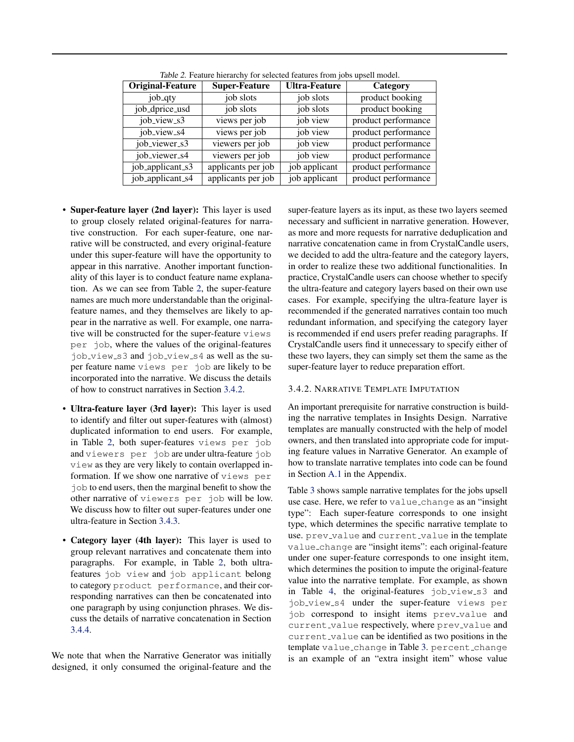<span id="page-5-0"></span>

| Original-Feature | <b>Super-Feature</b> | <b>Ultra-Feature</b> | Category            |
|------------------|----------------------|----------------------|---------------------|
| job_qty          | job slots            | job slots            | product booking     |
| job_dprice_usd   | job slots            | job slots            | product booking     |
| job_view_s3      | views per job        | job view             | product performance |
| job_view_s4      | views per job        | job view             | product performance |
| job_viewer_s3    | viewers per job      | job view             | product performance |
| job_viewer_s4    | viewers per job      | job view             | product performance |
| job_applicant_s3 | applicants per job   | job applicant        | product performance |
| job_applicant_s4 | applicants per job   | job applicant        | product performance |

Table 2. Feature hierarchy for selected features from jobs upsell model.

- Super-feature layer (2nd layer): This layer is used to group closely related original-features for narrative construction. For each super-feature, one narrative will be constructed, and every original-feature under this super-feature will have the opportunity to appear in this narrative. Another important functionality of this layer is to conduct feature name explanation. As we can see from Table 2, the super-feature names are much more understandable than the originalfeature names, and they themselves are likely to appear in the narrative as well. For example, one narrative will be constructed for the super-feature views per job, where the values of the original-features job\_view\_s3 and job\_view\_s4 as well as the super feature name views per job are likely to be incorporated into the narrative. We discuss the details of how to construct narratives in Section 3.4.2.
- Ultra-feature layer (3rd layer): This layer is used to identify and filter out super-features with (almost) duplicated information to end users. For example, in Table 2, both super-features views per job and viewers per job are under ultra-feature job view as they are very likely to contain overlapped information. If we show one narrative of views per job to end users, then the marginal benefit to show the other narrative of viewers per job will be low. We discuss how to filter out super-features under one ultra-feature in Section [3.4.3.](#page-6-0)
- Category layer (4th layer): This layer is used to group relevant narratives and concatenate them into paragraphs. For example, in Table 2, both ultrafeatures job view and job applicant belong to category product performance, and their corresponding narratives can then be concatenated into one paragraph by using conjunction phrases. We discuss the details of narrative concatenation in Section [3.4.4.](#page-6-0)

We note that when the Narrative Generator was initially designed, it only consumed the original-feature and the

super-feature layers as its input, as these two layers seemed necessary and sufficient in narrative generation. However, as more and more requests for narrative deduplication and narrative concatenation came in from CrystalCandle users, we decided to add the ultra-feature and the category layers, in order to realize these two additional functionalities. In practice, CrystalCandle users can choose whether to specify the ultra-feature and category layers based on their own use cases. For example, specifying the ultra-feature layer is recommended if the generated narratives contain too much redundant information, and specifying the category layer is recommended if end users prefer reading paragraphs. If CrystalCandle users find it unnecessary to specify either of these two layers, they can simply set them the same as the super-feature layer to reduce preparation effort.

## 3.4.2. NARRATIVE TEMPLATE IMPUTATION

An important prerequisite for narrative construction is building the narrative templates in Insights Design. Narrative templates are manually constructed with the help of model owners, and then translated into appropriate code for imputing feature values in Narrative Generator. An example of how to translate narrative templates into code can be found in Section [A.1](#page-13-0) in the Appendix.

Table [3](#page-7-0) shows sample narrative templates for the jobs upsell use case. Here, we refer to value change as an "insight type": Each super-feature corresponds to one insight type, which determines the specific narrative template to use. prev\_value and current\_value in the template value change are "insight items": each original-feature under one super-feature corresponds to one insight item, which determines the position to impute the original-feature value into the narrative template. For example, as shown in Table [4,](#page-7-0) the original-features job\_view\_s3 and job view s4 under the super-feature views per job correspond to insight items prev value and current\_value respectively, where prev\_value and current value can be identified as two positions in the template value\_change in Table [3.](#page-7-0) percent\_change is an example of an "extra insight item" whose value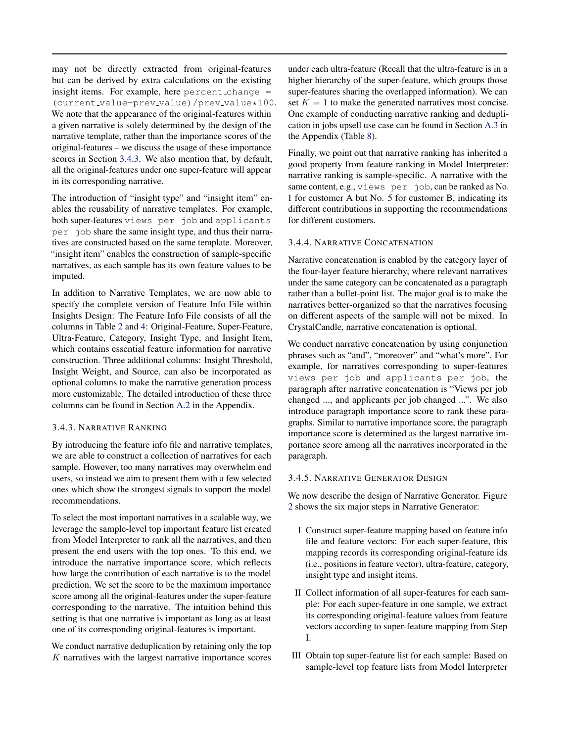<span id="page-6-0"></span>may not be directly extracted from original-features but can be derived by extra calculations on the existing insight items. For example, here percent change = (current value-prev value)/prev value\*100. We note that the appearance of the original-features within a given narrative is solely determined by the design of the narrative template, rather than the importance scores of the original-features – we discuss the usage of these importance scores in Section 3.4.3. We also mention that, by default, all the original-features under one super-feature will appear in its corresponding narrative.

The introduction of "insight type" and "insight item" enables the reusability of narrative templates. For example, both super-features views per job and applicants per job share the same insight type, and thus their narratives are constructed based on the same template. Moreover, "insight item" enables the construction of sample-specific narratives, as each sample has its own feature values to be imputed.

In addition to Narrative Templates, we are now able to specify the complete version of Feature Info File within Insights Design: The Feature Info File consists of all the columns in Table [2](#page-5-0) and [4:](#page-7-0) Original-Feature, Super-Feature, Ultra-Feature, Category, Insight Type, and Insight Item, which contains essential feature information for narrative construction. Three additional columns: Insight Threshold, Insight Weight, and Source, can also be incorporated as optional columns to make the narrative generation process more customizable. The detailed introduction of these three columns can be found in Section [A.2](#page-13-0) in the Appendix.

#### 3.4.3. NARRATIVE RANKING

By introducing the feature info file and narrative templates, we are able to construct a collection of narratives for each sample. However, too many narratives may overwhelm end users, so instead we aim to present them with a few selected ones which show the strongest signals to support the model recommendations.

To select the most important narratives in a scalable way, we leverage the sample-level top important feature list created from Model Interpreter to rank all the narratives, and then present the end users with the top ones. To this end, we introduce the narrative importance score, which reflects how large the contribution of each narrative is to the model prediction. We set the score to be the maximum importance score among all the original-features under the super-feature corresponding to the narrative. The intuition behind this setting is that one narrative is important as long as at least one of its corresponding original-features is important.

We conduct narrative deduplication by retaining only the top K narratives with the largest narrative importance scores

under each ultra-feature (Recall that the ultra-feature is in a higher hierarchy of the super-feature, which groups those super-features sharing the overlapped information). We can set  $K = 1$  to make the generated narratives most concise. One example of conducting narrative ranking and deduplication in jobs upsell use case can be found in Section [A.3](#page-14-0) in the Appendix (Table [8\)](#page-14-0).

Finally, we point out that narrative ranking has inherited a good property from feature ranking in Model Interpreter: narrative ranking is sample-specific. A narrative with the same content, e.g., views per job, can be ranked as No. 1 for customer A but No. 5 for customer B, indicating its different contributions in supporting the recommendations for different customers.

## 3.4.4. NARRATIVE CONCATENATION

Narrative concatenation is enabled by the category layer of the four-layer feature hierarchy, where relevant narratives under the same category can be concatenated as a paragraph rather than a bullet-point list. The major goal is to make the narratives better-organized so that the narratives focusing on different aspects of the sample will not be mixed. In CrystalCandle, narrative concatenation is optional.

We conduct narrative concatenation by using conjunction phrases such as "and", "moreover" and "what's more". For example, for narratives corresponding to super-features views per job and applicants per job, the paragraph after narrative concatenation is "Views per job changed ..., and applicants per job changed ...". We also introduce paragraph importance score to rank these paragraphs. Similar to narrative importance score, the paragraph importance score is determined as the largest narrative importance score among all the narratives incorporated in the paragraph.

## 3.4.5. NARRATIVE GENERATOR DESIGN

We now describe the design of Narrative Generator. Figure [2](#page-8-0) shows the six major steps in Narrative Generator:

- I Construct super-feature mapping based on feature info file and feature vectors: For each super-feature, this mapping records its corresponding original-feature ids (i.e., positions in feature vector), ultra-feature, category, insight type and insight items.
- II Collect information of all super-features for each sample: For each super-feature in one sample, we extract its corresponding original-feature values from feature vectors according to super-feature mapping from Step I.
- III Obtain top super-feature list for each sample: Based on sample-level top feature lists from Model Interpreter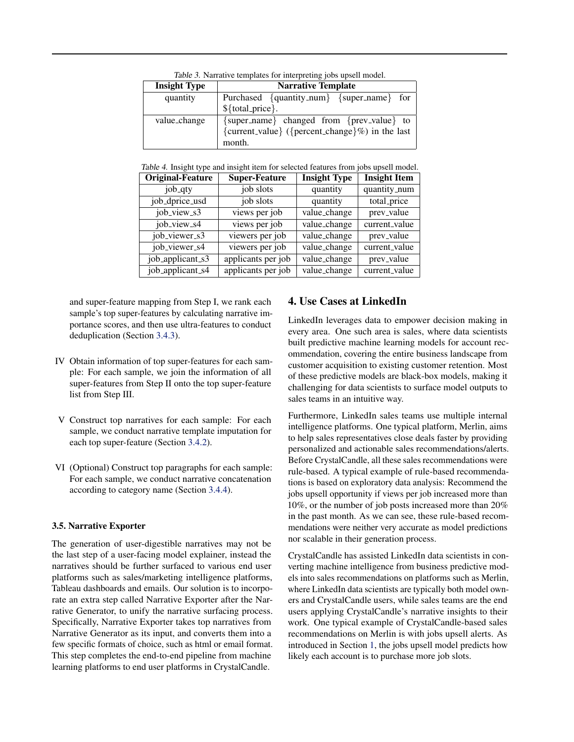Table 3. Narrative templates for interpreting jobs upsell model.

<span id="page-7-0"></span>

| <b>Insight Type</b> | <b>Narrative Template</b>                       |  |  |  |
|---------------------|-------------------------------------------------|--|--|--|
| quantity            | Purchased {quantity_num} {super_name} for       |  |  |  |
|                     | \${total_price}.                                |  |  |  |
| value_change        | {super_name} changed from {prev_value} to       |  |  |  |
|                     | {current_value} ({percent_change}%) in the last |  |  |  |
|                     | month.                                          |  |  |  |

Table 4. Insight type and insight item for selected features from jobs upsell model.

| <b>Original-Feature</b> | <b>Super-Feature</b> | <b>Insight Type</b> | <b>Insight Item</b> |
|-------------------------|----------------------|---------------------|---------------------|
| job_qty                 | job slots            | quantity            | quantity_num        |
| job_dprice_usd          | job slots            | quantity            | total_price         |
| job_view_s3             | views per job        | value_change        | prev_value          |
| job_view_s4             | views per job        | value_change        | current_value       |
| job_viewer_s3           | viewers per job      | value_change        | prev_value          |
| job_viewer_s4           | viewers per job      | value_change        | current_value       |
| job_applicant_s3        | applicants per job   | value_change        | prev_value          |
| job_applicant_s4        | applicants per job   | value_change        | current_value       |

and super-feature mapping from Step I, we rank each sample's top super-features by calculating narrative importance scores, and then use ultra-features to conduct deduplication (Section [3.4.3\)](#page-6-0).

- IV Obtain information of top super-features for each sample: For each sample, we join the information of all super-features from Step II onto the top super-feature list from Step III.
- V Construct top narratives for each sample: For each sample, we conduct narrative template imputation for each top super-feature (Section [3.4.2\)](#page-5-0).
- VI (Optional) Construct top paragraphs for each sample: For each sample, we conduct narrative concatenation according to category name (Section [3.4.4\)](#page-6-0).

## 3.5. Narrative Exporter

The generation of user-digestible narratives may not be the last step of a user-facing model explainer, instead the narratives should be further surfaced to various end user platforms such as sales/marketing intelligence platforms, Tableau dashboards and emails. Our solution is to incorporate an extra step called Narrative Exporter after the Narrative Generator, to unify the narrative surfacing process. Specifically, Narrative Exporter takes top narratives from Narrative Generator as its input, and converts them into a few specific formats of choice, such as html or email format. This step completes the end-to-end pipeline from machine learning platforms to end user platforms in CrystalCandle.

# 4. Use Cases at LinkedIn

LinkedIn leverages data to empower decision making in every area. One such area is sales, where data scientists built predictive machine learning models for account recommendation, covering the entire business landscape from customer acquisition to existing customer retention. Most of these predictive models are black-box models, making it challenging for data scientists to surface model outputs to sales teams in an intuitive way.

Furthermore, LinkedIn sales teams use multiple internal intelligence platforms. One typical platform, Merlin, aims to help sales representatives close deals faster by providing personalized and actionable sales recommendations/alerts. Before CrystalCandle, all these sales recommendations were rule-based. A typical example of rule-based recommendations is based on exploratory data analysis: Recommend the jobs upsell opportunity if views per job increased more than 10%, or the number of job posts increased more than 20% in the past month. As we can see, these rule-based recommendations were neither very accurate as model predictions nor scalable in their generation process.

CrystalCandle has assisted LinkedIn data scientists in converting machine intelligence from business predictive models into sales recommendations on platforms such as Merlin, where LinkedIn data scientists are typically both model owners and CrystalCandle users, while sales teams are the end users applying CrystalCandle's narrative insights to their work. One typical example of CrystalCandle-based sales recommendations on Merlin is with jobs upsell alerts. As introduced in Section [1,](#page-1-0) the jobs upsell model predicts how likely each account is to purchase more job slots.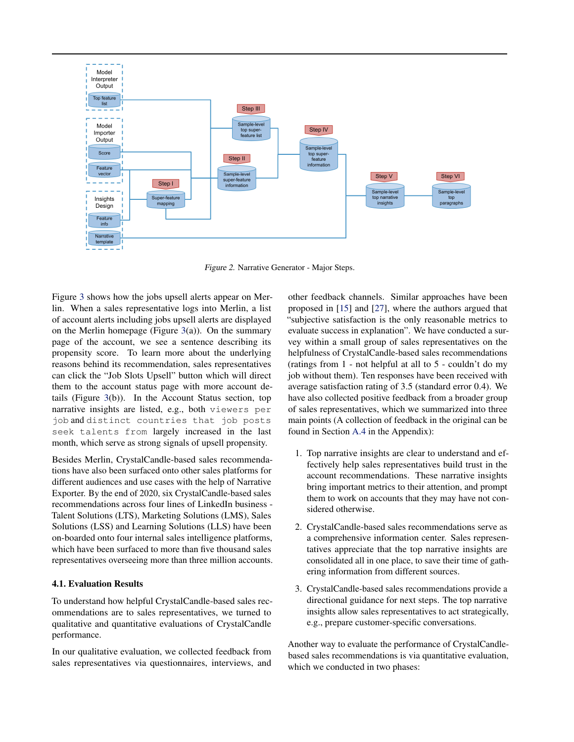<span id="page-8-0"></span>

Figure 2. Narrative Generator - Major Steps.

Figure [3](#page-9-0) shows how the jobs upsell alerts appear on Merlin. When a sales representative logs into Merlin, a list of account alerts including jobs upsell alerts are displayed on the Merlin homepage (Figure  $3(a)$  $3(a)$ ). On the summary page of the account, we see a sentence describing its propensity score. To learn more about the underlying reasons behind its recommendation, sales representatives can click the "Job Slots Upsell" button which will direct them to the account status page with more account details (Figure [3\(](#page-9-0)b)). In the Account Status section, top narrative insights are listed, e.g., both viewers per job and distinct countries that job posts seek talents from largely increased in the last month, which serve as strong signals of upsell propensity.

Besides Merlin, CrystalCandle-based sales recommendations have also been surfaced onto other sales platforms for different audiences and use cases with the help of Narrative Exporter. By the end of 2020, six CrystalCandle-based sales recommendations across four lines of LinkedIn business - Talent Solutions (LTS), Marketing Solutions (LMS), Sales Solutions (LSS) and Learning Solutions (LLS) have been on-boarded onto four internal sales intelligence platforms, which have been surfaced to more than five thousand sales representatives overseeing more than three million accounts.

#### 4.1. Evaluation Results

To understand how helpful CrystalCandle-based sales recommendations are to sales representatives, we turned to qualitative and quantitative evaluations of CrystalCandle performance.

In our qualitative evaluation, we collected feedback from sales representatives via questionnaires, interviews, and

other feedback channels. Similar approaches have been proposed in [\[15\]](#page-12-0) and [\[27\]](#page-12-0), where the authors argued that "subjective satisfaction is the only reasonable metrics to evaluate success in explanation". We have conducted a survey within a small group of sales representatives on the helpfulness of CrystalCandle-based sales recommendations (ratings from 1 - not helpful at all to 5 - couldn't do my job without them). Ten responses have been received with average satisfaction rating of 3.5 (standard error 0.4). We have also collected positive feedback from a broader group of sales representatives, which we summarized into three main points (A collection of feedback in the original can be found in Section [A.4](#page-14-0) in the Appendix):

- 1. Top narrative insights are clear to understand and effectively help sales representatives build trust in the account recommendations. These narrative insights bring important metrics to their attention, and prompt them to work on accounts that they may have not considered otherwise.
- 2. CrystalCandle-based sales recommendations serve as a comprehensive information center. Sales representatives appreciate that the top narrative insights are consolidated all in one place, to save their time of gathering information from different sources.
- 3. CrystalCandle-based sales recommendations provide a directional guidance for next steps. The top narrative insights allow sales representatives to act strategically, e.g., prepare customer-specific conversations.

Another way to evaluate the performance of CrystalCandlebased sales recommendations is via quantitative evaluation, which we conducted in two phases: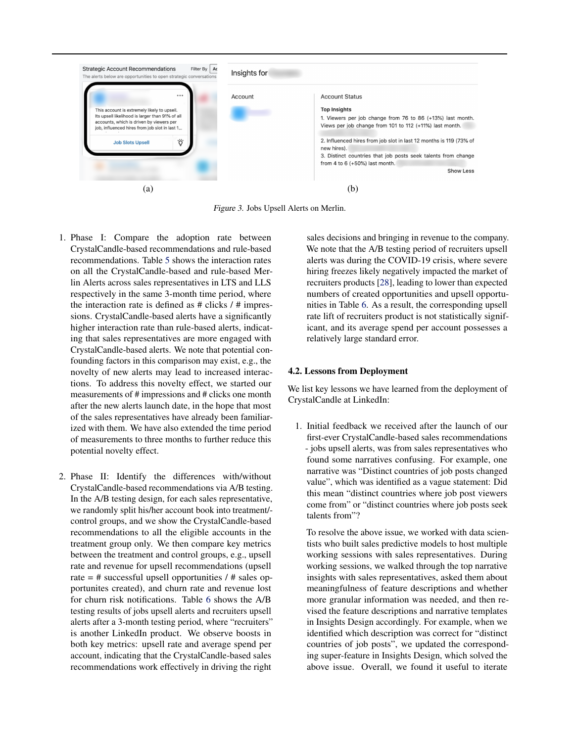<span id="page-9-0"></span>

Figure 3. Jobs Upsell Alerts on Merlin.

- 1. Phase I: Compare the adoption rate between CrystalCandle-based recommendations and rule-based recommendations. Table [5](#page-10-0) shows the interaction rates on all the CrystalCandle-based and rule-based Merlin Alerts across sales representatives in LTS and LLS respectively in the same 3-month time period, where the interaction rate is defined as  $#$  clicks  $/#$  impressions. CrystalCandle-based alerts have a significantly higher interaction rate than rule-based alerts, indicating that sales representatives are more engaged with CrystalCandle-based alerts. We note that potential confounding factors in this comparison may exist, e.g., the novelty of new alerts may lead to increased interactions. To address this novelty effect, we started our measurements of # impressions and # clicks one month after the new alerts launch date, in the hope that most of the sales representatives have already been familiarized with them. We have also extended the time period of measurements to three months to further reduce this potential novelty effect.
- 2. Phase II: Identify the differences with/without CrystalCandle-based recommendations via A/B testing. In the A/B testing design, for each sales representative, we randomly split his/her account book into treatment/ control groups, and we show the CrystalCandle-based recommendations to all the eligible accounts in the treatment group only. We then compare key metrics between the treatment and control groups, e.g., upsell rate and revenue for upsell recommendations (upsell rate  $=$  # successful upsell opportunities  $/$  # sales opportunites created), and churn rate and revenue lost for churn risk notifications. Table [6](#page-10-0) shows the A/B testing results of jobs upsell alerts and recruiters upsell alerts after a 3-month testing period, where "recruiters" is another LinkedIn product. We observe boosts in both key metrics: upsell rate and average spend per account, indicating that the CrystalCandle-based sales recommendations work effectively in driving the right

sales decisions and bringing in revenue to the company. We note that the A/B testing period of recruiters upsell alerts was during the COVID-19 crisis, where severe hiring freezes likely negatively impacted the market of recruiters products [\[28\]](#page-12-0), leading to lower than expected numbers of created opportunities and upsell opportunities in Table [6.](#page-10-0) As a result, the corresponding upsell rate lift of recruiters product is not statistically significant, and its average spend per account possesses a relatively large standard error.

## 4.2. Lessons from Deployment

We list key lessons we have learned from the deployment of CrystalCandle at LinkedIn:

1. Initial feedback we received after the launch of our first-ever CrystalCandle-based sales recommendations - jobs upsell alerts, was from sales representatives who found some narratives confusing. For example, one narrative was "Distinct countries of job posts changed value", which was identified as a vague statement: Did this mean "distinct countries where job post viewers come from" or "distinct countries where job posts seek talents from"?

To resolve the above issue, we worked with data scientists who built sales predictive models to host multiple working sessions with sales representatives. During working sessions, we walked through the top narrative insights with sales representatives, asked them about meaningfulness of feature descriptions and whether more granular information was needed, and then revised the feature descriptions and narrative templates in Insights Design accordingly. For example, when we identified which description was correct for "distinct countries of job posts", we updated the corresponding super-feature in Insights Design, which solved the above issue. Overall, we found it useful to iterate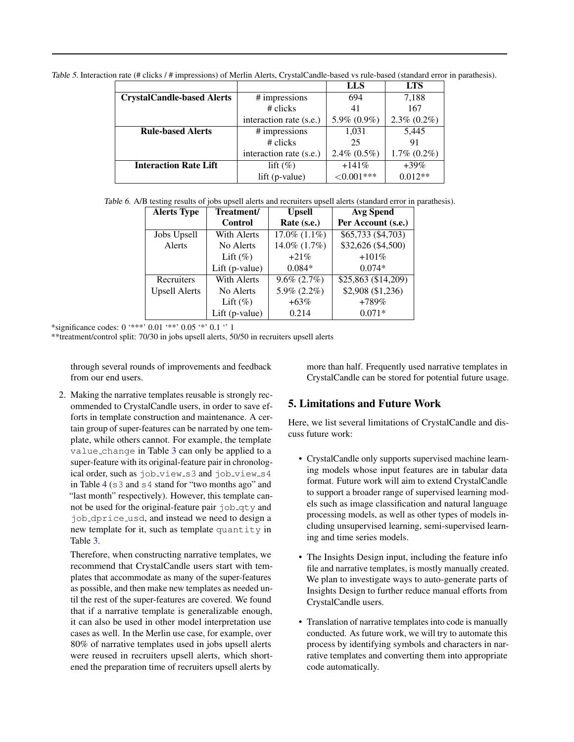|                                   |                         | LLS               | <b>LTS</b>        |
|-----------------------------------|-------------------------|-------------------|-------------------|
| <b>CrystalCandle-based Alerts</b> | # impressions           | 694               | 7,188             |
|                                   | $#$ clicks              | 41                | 167               |
|                                   | interaction rate (s.e.) | 5.9% (0.9%)       | $2.3\%$ $(0.2\%)$ |
| <b>Rule-based Alerts</b>          | # impressions           | 1,031             | 5,445             |
|                                   | $#$ clicks              | 25                | 91                |
|                                   | interaction rate (s.e.) | $2.4\%$ $(0.5\%)$ | $1.7\%$ $(0.2\%)$ |
| <b>Interaction Rate Lift</b>      | lift $(\%)$             | $+141%$           | $+39\%$           |
|                                   | lift (p-value)          | ${<}0.001***$     | $0.012**$         |

<span id="page-10-0"></span>Table 5. Interaction rate (# clicks / # impressions) of Merlin Alerts, CrystalCandle-based vs rule-based (standard error in parathesis).

Table 6. A/B testing results of jobs upsell alerts and recruiters upsell alerts (standard error in parathesis).

| <b>Alerts Type</b>   | Treatment/     | <b>Upsell</b>      | <b>Avg Spend</b>    |
|----------------------|----------------|--------------------|---------------------|
|                      | <b>Control</b> | Rate (s.e.)        | Per Account (s.e.)  |
| Jobs Upsell          | With Alerts    | $17.0\%$ $(1.1\%)$ | \$65,733 (\$4,703)  |
| Alerts               | No Alerts      | 14.0% (1.7%)       | \$32,626 (\$4,500)  |
|                      | Lift $(\% )$   | $+21%$             | $+101%$             |
|                      | Lift (p-value) | $0.084*$           | $0.074*$            |
| Recruiters           | With Alerts    | $9.6\% (2.7\%)$    | \$25,863 (\$14,209) |
| <b>Upsell Alerts</b> | No Alerts      | $5.9\%$ (2.2%)     | \$2,908 (\$1,236)   |
|                      | Lift $(\% )$   | $+63\%$            | $+789%$             |
|                      | Lift (p-value) | 0.214              | $0.071*$            |

\*significance codes: 0 '\*\*\*' 0.01 '\*\*' 0.05 '\*' 0.1 '' 1

\*\*treatment/control split: 70/30 in jobs upsell alerts, 50/50 in recruiters upsell alerts

through several rounds of improvements and feedback from our end users.

more than half. Frequently used narrative templates in CrystalCandle can be stored for potential future usage.

2. Making the narrative templates reusable is strongly recommended to CrystalCandle users, in order to save efforts in template construction and maintenance. A certain group of super-features can be narrated by one template, while others cannot. For example, the template value change in Table [3](#page-7-0) can only be applied to a super-feature with its original-feature pair in chronological order, such as job\_view\_s3 and job\_view\_s4 in Table [4](#page-7-0) (s3 and s4 stand for "two months ago" and "last month" respectively). However, this template cannot be used for the original-feature pair  $\overline{\text{obj}}$ job dprice usd, and instead we need to design a new template for it, such as template quantity in Table [3.](#page-7-0)

Therefore, when constructing narrative templates, we recommend that CrystalCandle users start with templates that accommodate as many of the super-features as possible, and then make new templates as needed until the rest of the super-features are covered. We found that if a narrative template is generalizable enough, it can also be used in other model interpretation use cases as well. In the Merlin use case, for example, over 80% of narrative templates used in jobs upsell alerts were reused in recruiters upsell alerts, which shortened the preparation time of recruiters upsell alerts by

# 5. Limitations and Future Work

Here, we list several limitations of CrystalCandle and discuss future work:

- CrystalCandle only supports supervised machine learning models whose input features are in tabular data format. Future work will aim to extend CrystalCandle to support a broader range of supervised learning models such as image classification and natural language processing models, as well as other types of models including unsupervised learning, semi-supervised learning and time series models.
- The Insights Design input, including the feature info file and narrative templates, is mostly manually created. We plan to investigate ways to auto-generate parts of Insights Design to further reduce manual efforts from CrystalCandle users.
- Translation of narrative templates into code is manually conducted. As future work, we will try to automate this process by identifying symbols and characters in narrative templates and converting them into appropriate code automatically.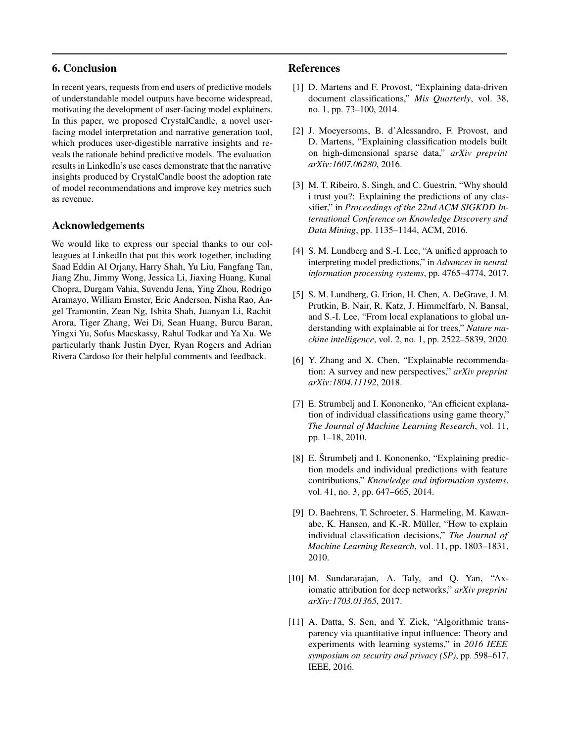# <span id="page-11-0"></span>6. Conclusion

In recent years, requests from end users of predictive models of understandable model outputs have become widespread, motivating the development of user-facing model explainers. In this paper, we proposed CrystalCandle, a novel userfacing model interpretation and narrative generation tool, which produces user-digestible narrative insights and reveals the rationale behind predictive models. The evaluation results in LinkedIn's use cases demonstrate that the narrative insights produced by CrystalCandle boost the adoption rate of model recommendations and improve key metrics such as revenue.

## Acknowledgements

We would like to express our special thanks to our colleagues at LinkedIn that put this work together, including Saad Eddin Al Orjany, Harry Shah, Yu Liu, Fangfang Tan, Jiang Zhu, Jimmy Wong, Jessica Li, Jiaxing Huang, Kunal Chopra, Durgam Vahia, Suvendu Jena, Ying Zhou, Rodrigo Aramayo, William Ernster, Eric Anderson, Nisha Rao, Angel Tramontin, Zean Ng, Ishita Shah, Juanyan Li, Rachit Arora, Tiger Zhang, Wei Di, Sean Huang, Burcu Baran, Yingxi Yu, Sofus Macskassy, Rahul Todkar and Ya Xu. We particularly thank Justin Dyer, Ryan Rogers and Adrian Rivera Cardoso for their helpful comments and feedback.

## References

- [1] D. Martens and F. Provost, "Explaining data-driven document classifications," *Mis Quarterly*, vol. 38, no. 1, pp. 73–100, 2014.
- [2] J. Moeyersoms, B. d'Alessandro, F. Provost, and D. Martens, "Explaining classification models built on high-dimensional sparse data," *arXiv preprint arXiv:1607.06280*, 2016.
- [3] M. T. Ribeiro, S. Singh, and C. Guestrin, "Why should i trust you?: Explaining the predictions of any classifier," in *Proceedings of the 22nd ACM SIGKDD International Conference on Knowledge Discovery and Data Mining*, pp. 1135–1144, ACM, 2016.
- [4] S. M. Lundberg and S.-I. Lee, "A unified approach to interpreting model predictions," in *Advances in neural information processing systems*, pp. 4765–4774, 2017.
- [5] S. M. Lundberg, G. Erion, H. Chen, A. DeGrave, J. M. Prutkin, B. Nair, R. Katz, J. Himmelfarb, N. Bansal, and S.-I. Lee, "From local explanations to global understanding with explainable ai for trees," *Nature machine intelligence*, vol. 2, no. 1, pp. 2522–5839, 2020.
- [6] Y. Zhang and X. Chen, "Explainable recommendation: A survey and new perspectives," *arXiv preprint arXiv:1804.11192*, 2018.
- [7] E. Strumbelj and I. Kononenko, "An efficient explanation of individual classifications using game theory," *The Journal of Machine Learning Research*, vol. 11, pp. 1–18, 2010.
- [8] E. Štrumbelj and I. Kononenko, "Explaining prediction models and individual predictions with feature contributions," *Knowledge and information systems*, vol. 41, no. 3, pp. 647–665, 2014.
- [9] D. Baehrens, T. Schroeter, S. Harmeling, M. Kawanabe, K. Hansen, and K.-R. Müller, "How to explain individual classification decisions," *The Journal of Machine Learning Research*, vol. 11, pp. 1803–1831, 2010.
- [10] M. Sundararajan, A. Taly, and Q. Yan, "Axiomatic attribution for deep networks," *arXiv preprint arXiv:1703.01365*, 2017.
- [11] A. Datta, S. Sen, and Y. Zick, "Algorithmic transparency via quantitative input influence: Theory and experiments with learning systems," in *2016 IEEE symposium on security and privacy (SP)*, pp. 598–617, IEEE, 2016.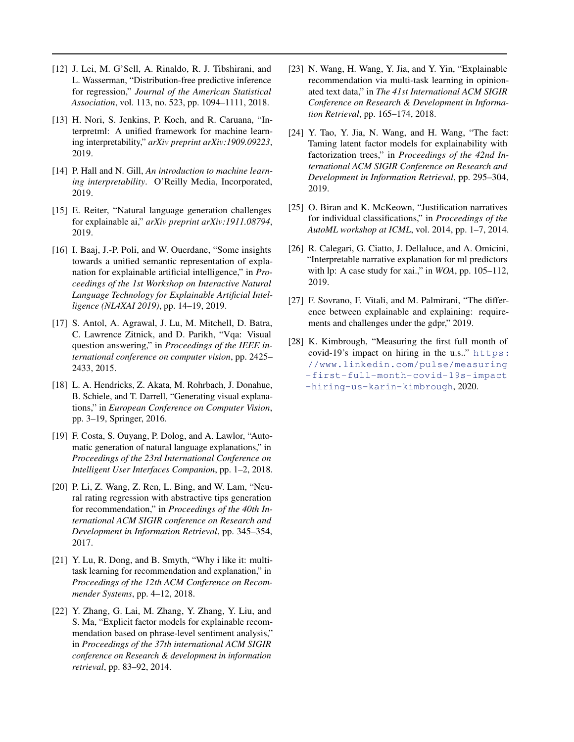- <span id="page-12-0"></span>[12] J. Lei, M. G'Sell, A. Rinaldo, R. J. Tibshirani, and L. Wasserman, "Distribution-free predictive inference for regression," *Journal of the American Statistical Association*, vol. 113, no. 523, pp. 1094–1111, 2018.
- [13] H. Nori, S. Jenkins, P. Koch, and R. Caruana, "Interpretml: A unified framework for machine learning interpretability," *arXiv preprint arXiv:1909.09223*, 2019.
- [14] P. Hall and N. Gill, *An introduction to machine learning interpretability*. O'Reilly Media, Incorporated, 2019.
- [15] E. Reiter, "Natural language generation challenges for explainable ai," *arXiv preprint arXiv:1911.08794*, 2019.
- [16] I. Baaj, J.-P. Poli, and W. Ouerdane, "Some insights towards a unified semantic representation of explanation for explainable artificial intelligence," in *Proceedings of the 1st Workshop on Interactive Natural Language Technology for Explainable Artificial Intelligence (NL4XAI 2019)*, pp. 14–19, 2019.
- [17] S. Antol, A. Agrawal, J. Lu, M. Mitchell, D. Batra, C. Lawrence Zitnick, and D. Parikh, "Vqa: Visual question answering," in *Proceedings of the IEEE international conference on computer vision*, pp. 2425– 2433, 2015.
- [18] L. A. Hendricks, Z. Akata, M. Rohrbach, J. Donahue, B. Schiele, and T. Darrell, "Generating visual explanations," in *European Conference on Computer Vision*, pp. 3–19, Springer, 2016.
- [19] F. Costa, S. Ouyang, P. Dolog, and A. Lawlor, "Automatic generation of natural language explanations," in *Proceedings of the 23rd International Conference on Intelligent User Interfaces Companion*, pp. 1–2, 2018.
- [20] P. Li, Z. Wang, Z. Ren, L. Bing, and W. Lam, "Neural rating regression with abstractive tips generation for recommendation," in *Proceedings of the 40th International ACM SIGIR conference on Research and Development in Information Retrieval*, pp. 345–354, 2017.
- [21] Y. Lu, R. Dong, and B. Smyth, "Why i like it: multitask learning for recommendation and explanation," in *Proceedings of the 12th ACM Conference on Recommender Systems*, pp. 4–12, 2018.
- [22] Y. Zhang, G. Lai, M. Zhang, Y. Zhang, Y. Liu, and S. Ma, "Explicit factor models for explainable recommendation based on phrase-level sentiment analysis," in *Proceedings of the 37th international ACM SIGIR conference on Research & development in information retrieval*, pp. 83–92, 2014.
- [23] N. Wang, H. Wang, Y. Jia, and Y. Yin, "Explainable recommendation via multi-task learning in opinionated text data," in *The 41st International ACM SIGIR Conference on Research & Development in Information Retrieval*, pp. 165–174, 2018.
- [24] Y. Tao, Y. Jia, N. Wang, and H. Wang, "The fact: Taming latent factor models for explainability with factorization trees," in *Proceedings of the 42nd International ACM SIGIR Conference on Research and Development in Information Retrieval*, pp. 295–304, 2019.
- [25] O. Biran and K. McKeown, "Justification narratives for individual classifications," in *Proceedings of the AutoML workshop at ICML*, vol. 2014, pp. 1–7, 2014.
- [26] R. Calegari, G. Ciatto, J. Dellaluce, and A. Omicini, "Interpretable narrative explanation for ml predictors with lp: A case study for xai.," in *WOA*, pp. 105–112, 2019.
- [27] F. Sovrano, F. Vitali, and M. Palmirani, "The difference between explainable and explaining: requirements and challenges under the gdpr," 2019.
- [28] K. Kimbrough, "Measuring the first full month of covid-19's impact on hiring in the u.s.." [https:](https://www.linkedin.com/pulse/measuring-first-full-month-covid-19s-impact-hiring-us-karin-kimbrough) [//www.linkedin.com/pulse/measuring](https://www.linkedin.com/pulse/measuring-first-full-month-covid-19s-impact-hiring-us-karin-kimbrough) [-first-full-month-covid-19s-impact](https://www.linkedin.com/pulse/measuring-first-full-month-covid-19s-impact-hiring-us-karin-kimbrough) [-hiring-us-karin-kimbrough](https://www.linkedin.com/pulse/measuring-first-full-month-covid-19s-impact-hiring-us-karin-kimbrough), 2020.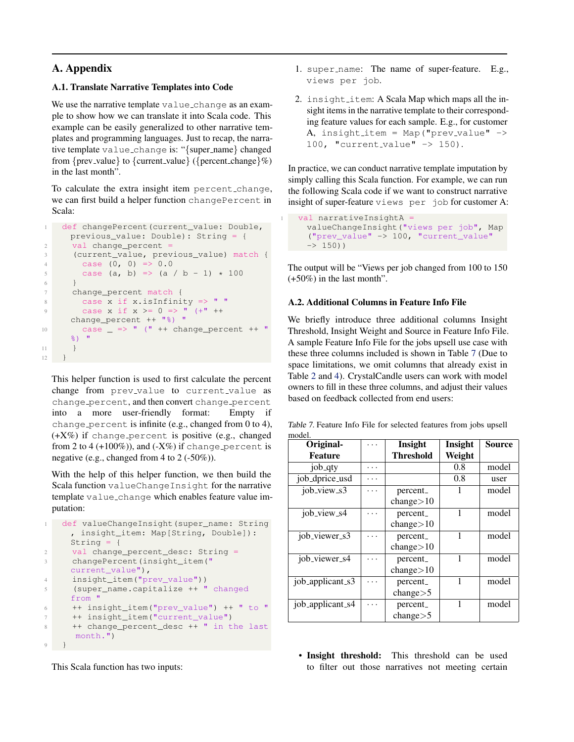# <span id="page-13-0"></span>A. Appendix

# A.1. Translate Narrative Templates into Code

We use the narrative template value\_change as an example to show how we can translate it into Scala code. This example can be easily generalized to other narrative templates and programming languages. Just to recap, the narrative template value change is: "{super name} changed from {prev\_value} to {current\_value} ({percent\_change}%) in the last month".

To calculate the extra insight item percent change, we can first build a helper function changePercent in Scala:

```
def changePercent(current_value: Double,
     previous_value: Double): String = {
     val change_percent =
3 (current_value, previous_value) match {
4 case (0, 0) => 0.0
5 case (a, b) => (a / b - 1) \times 1006 }
7 change_percent match {
8 case x if x.isInfinity => " "
9 case x if x >= 0 => " (+" ++
     change_percent ++ "%) "
10 case = \Rightarrow " (" ++ change_percent ++ "
     %) "
11 }
12 }
```
This helper function is used to first calculate the percent change from prev\_value to current\_value as change\_percent, and then convert change\_percent into a more user-friendly format: Empty if change percent is infinite (e.g., changed from 0 to 4),  $(+X\%)$  if change percent is positive (e.g., changed from 2 to 4  $(+100\%)$ , and  $(-X\%)$  if change percent is negative (e.g., changed from 4 to 2 (-50%)).

With the help of this helper function, we then build the Scala function valueChangeInsight for the narrative template value change which enables feature value imputation:

```
def valueChangeInsight(super_name: String
      , insight_item: Map[String, Double]):
     String = {
2 val change_percent_desc: String =
     changePercent(insight_item("
     current_value"),
4 insight_item("prev_value"))
5 (super_name.capitalize ++ " changed
     from "
6 ++ insight_item("prev_value") ++ " to "
     ++ insight_item("current_value")
8 ++ change_percent_desc ++ " in the last
      month.")
9 }
```
1. super name: The name of super-feature. E.g., views per job.

2. insight item: A Scala Map which maps all the insight items in the narrative template to their corresponding feature values for each sample. E.g., for customer A, insight item = Map ("prev\_value"  $\rightarrow$ 100, "current\_value"  $\rightarrow$  150).

In practice, we can conduct narrative template imputation by simply calling this Scala function. For example, we can run the following Scala code if we want to construct narrative insight of super-feature views per job for customer A:

```
val narrativeInsightA =
 valueChangeInsight("views per job", Map
  ("prev_value" -> 100, "current_value"
 -> 150))
```
The output will be "Views per job changed from 100 to 150 (+50%) in the last month".

# A.2. Additional Columns in Feature Info File

We briefly introduce three additional columns Insight Threshold, Insight Weight and Source in Feature Info File. A sample Feature Info File for the jobs upsell use case with these three columns included is shown in Table 7 (Due to space limitations, we omit columns that already exist in Table [2](#page-5-0) and [4\)](#page-7-0). CrystalCandle users can work with model owners to fill in these three columns, and adjust their values based on feedback collected from end users:

| Table 7. Feature Info File for selected features from jobs upsell |  |  |  |  |
|-------------------------------------------------------------------|--|--|--|--|
| model.                                                            |  |  |  |  |

| Original-        | Insight          | Insight | <b>Source</b> |
|------------------|------------------|---------|---------------|
| <b>Feature</b>   | <b>Threshold</b> | Weight  |               |
| job_qty          |                  | 0.8     | model         |
| job_dprice_usd   |                  | 0.8     | user          |
| job_view_s3      | percent_         | 1       | model         |
|                  | change $>10$     |         |               |
| job_view_s4      | percent_         | 1       | model         |
|                  | change $>10$     |         |               |
| job_viewer_s3    | percent_         | 1       | model         |
|                  | change>10        |         |               |
| job_viewer_s4    | percent_         |         | model         |
|                  | change $>10$     |         |               |
| job_applicant_s3 | percent_         | 1       | model         |
|                  | change $>5$      |         |               |
| job_applicant_s4 | percent_         |         | model         |
|                  | change $>5$      |         |               |

• Insight threshold: This threshold can be used to filter out those narratives not meeting certain

This Scala function has two inputs: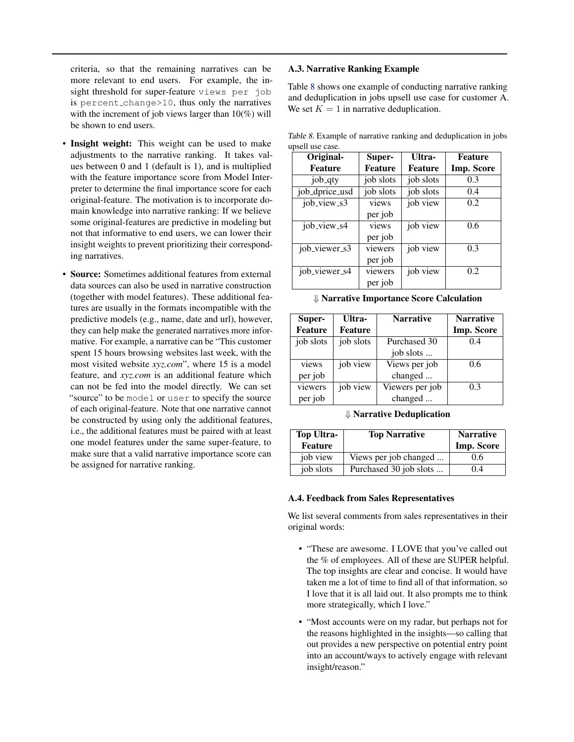<span id="page-14-0"></span>criteria, so that the remaining narratives can be more relevant to end users. For example, the insight threshold for super-feature views per job is percent change>10, thus only the narratives with the increment of job views larger than 10(%) will be shown to end users.

- Insight weight: This weight can be used to make adjustments to the narrative ranking. It takes values between 0 and 1 (default is 1), and is multiplied with the feature importance score from Model Interpreter to determine the final importance score for each original-feature. The motivation is to incorporate domain knowledge into narrative ranking: If we believe some original-features are predictive in modeling but not that informative to end users, we can lower their insight weights to prevent prioritizing their corresponding narratives.
- Source: Sometimes additional features from external data sources can also be used in narrative construction (together with model features). These additional features are usually in the formats incompatible with the predictive models (e.g., name, date and url), however, they can help make the generated narratives more informative. For example, a narrative can be "This customer spent 15 hours browsing websites last week, with the most visited website *xyz.com*", where 15 is a model feature, and *xyz.com* is an additional feature which can not be fed into the model directly. We can set "source" to be model or user to specify the source of each original-feature. Note that one narrative cannot be constructed by using only the additional features, i.e., the additional features must be paired with at least one model features under the same super-feature, to make sure that a valid narrative importance score can be assigned for narrative ranking.

#### A.3. Narrative Ranking Example

Table 8 shows one example of conducting narrative ranking and deduplication in jobs upsell use case for customer A. We set  $K = 1$  in narrative deduplication.

Table 8. Example of narrative ranking and deduplication in jobs upsell use case.

| Original-      | Super-         | Ultra-         | <b>Feature</b> |
|----------------|----------------|----------------|----------------|
| <b>Feature</b> | <b>Feature</b> | <b>Feature</b> | Imp. Score     |
| job_qty        | job slots      | job slots      | 0.3            |
| job_dprice_usd | job slots      | job slots      | 0.4            |
| job_view_s3    | views          | job view       | 0.2            |
|                | per job        |                |                |
| job_view_s4    | views          | job view       | 0.6            |
|                | per job        |                |                |
| job_viewer_s3  | viewers        | job view       | 0.3            |
|                | per job        |                |                |
| job_viewer_s4  | viewers        | job view       | 0.2            |
|                | per job        |                |                |

⇓ Narrative Importance Score Calculation

| Super-         | Ultra-         | <b>Narrative</b> | <b>Narrative</b> |
|----------------|----------------|------------------|------------------|
| <b>Feature</b> | <b>Feature</b> |                  | Imp. Score       |
| job slots      | job slots      | Purchased 30     | 0.4              |
|                |                | job slots        |                  |
| views          | job view       | Views per job    | 0.6              |
| per job        |                | changed          |                  |
| viewers        | job view       | Viewers per job  | 0.3              |
| per job        |                | changed          |                  |

⇓ Narrative Deduplication

| <b>Top Ultra-</b><br>Feature | <b>Top Narrative</b>   | <b>Narrative</b><br>Imp. Score |
|------------------------------|------------------------|--------------------------------|
| job view                     | Views per job changed  | 0.6                            |
| job slots                    | Purchased 30 job slots | 0.4                            |

#### A.4. Feedback from Sales Representatives

We list several comments from sales representatives in their original words:

- "These are awesome. I LOVE that you've called out the % of employees. All of these are SUPER helpful. The top insights are clear and concise. It would have taken me a lot of time to find all of that information, so I love that it is all laid out. It also prompts me to think more strategically, which I love."
- "Most accounts were on my radar, but perhaps not for the reasons highlighted in the insights—so calling that out provides a new perspective on potential entry point into an account/ways to actively engage with relevant insight/reason."